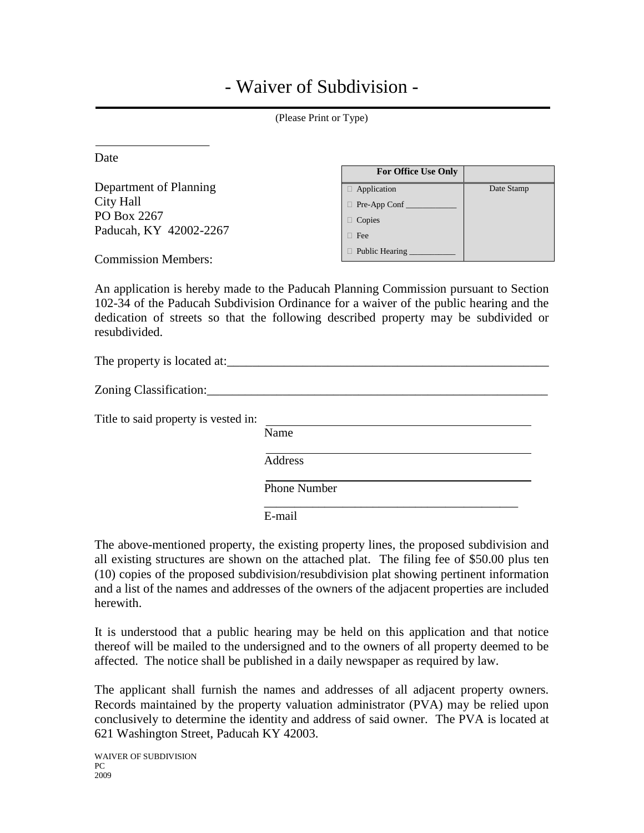## - Waiver of Subdivision -

| (Please Print or Type)                                                       |                                                                                 |            |  |  |
|------------------------------------------------------------------------------|---------------------------------------------------------------------------------|------------|--|--|
| Date                                                                         | <b>For Office Use Only</b>                                                      |            |  |  |
| Department of Planning<br>City Hall<br>PO Box 2267<br>Paducah, KY 42002-2267 | $\Box$ Application<br>$\Box$ Pre-App Conf $\Box$<br>$\Box$ Copies<br>$\Box$ Fee | Date Stamp |  |  |
| <b>Commission Members:</b>                                                   | $\Box$ Public Hearing $\Box$                                                    |            |  |  |

An application is hereby made to the Paducah Planning Commission pursuant to Section 102-34 of the Paducah Subdivision Ordinance for a waiver of the public hearing and the dedication of streets so that the following described property may be subdivided or resubdivided.

| The property is located at:          |                     |
|--------------------------------------|---------------------|
| Zoning Classification:               |                     |
| Title to said property is vested in: | Name                |
|                                      | Address             |
|                                      | <b>Phone Number</b> |
|                                      | E-mail              |

The above-mentioned property, the existing property lines, the proposed subdivision and all existing structures are shown on the attached plat. The filing fee of \$50.00 plus ten (10) copies of the proposed subdivision/resubdivision plat showing pertinent information and a list of the names and addresses of the owners of the adjacent properties are included herewith.

It is understood that a public hearing may be held on this application and that notice thereof will be mailed to the undersigned and to the owners of all property deemed to be affected. The notice shall be published in a daily newspaper as required by law.

The applicant shall furnish the names and addresses of all adjacent property owners. Records maintained by the property valuation administrator (PVA) may be relied upon conclusively to determine the identity and address of said owner. The PVA is located at 621 Washington Street, Paducah KY 42003.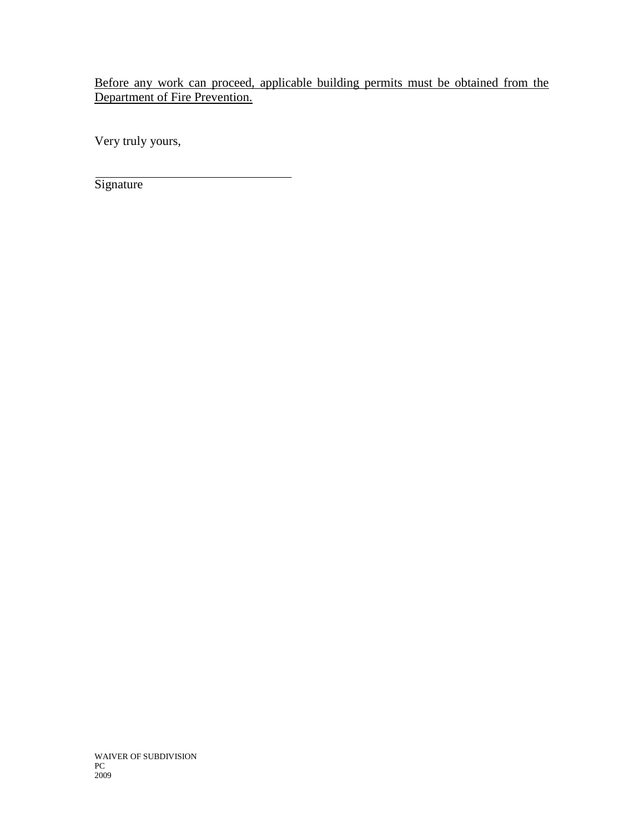Before any work can proceed, applicable building permits must be obtained from the Department of Fire Prevention.

Very truly yours,

**Signature** 

WAIVER OF SUBDIVISION PC 2009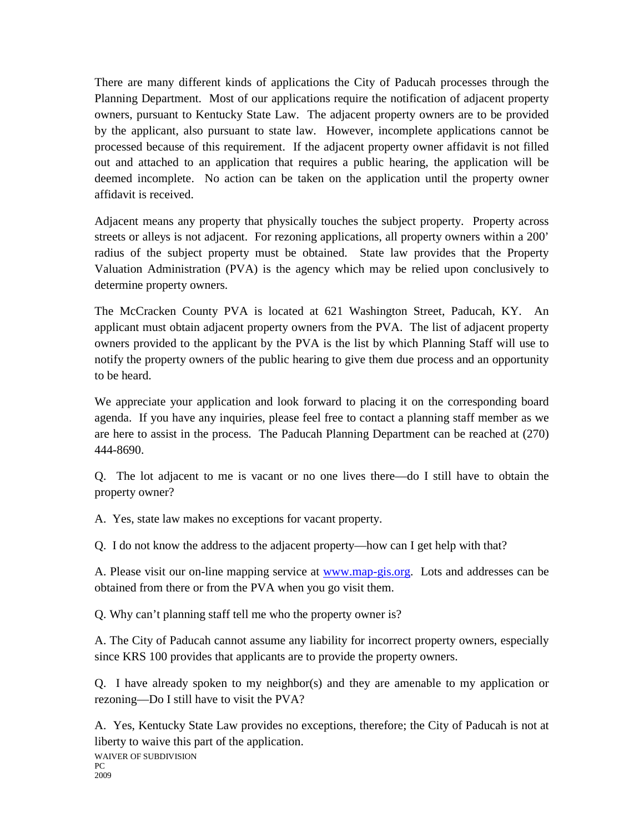There are many different kinds of applications the City of Paducah processes through the Planning Department. Most of our applications require the notification of adjacent property owners, pursuant to Kentucky State Law. The adjacent property owners are to be provided by the applicant, also pursuant to state law. However, incomplete applications cannot be processed because of this requirement. If the adjacent property owner affidavit is not filled out and attached to an application that requires a public hearing, the application will be deemed incomplete. No action can be taken on the application until the property owner affidavit is received.

Adjacent means any property that physically touches the subject property. Property across streets or alleys is not adjacent. For rezoning applications, all property owners within a 200' radius of the subject property must be obtained. State law provides that the Property Valuation Administration (PVA) is the agency which may be relied upon conclusively to determine property owners.

The McCracken County PVA is located at 621 Washington Street, Paducah, KY. An applicant must obtain adjacent property owners from the PVA. The list of adjacent property owners provided to the applicant by the PVA is the list by which Planning Staff will use to notify the property owners of the public hearing to give them due process and an opportunity to be heard.

We appreciate your application and look forward to placing it on the corresponding board agenda. If you have any inquiries, please feel free to contact a planning staff member as we are here to assist in the process. The Paducah Planning Department can be reached at (270) 444-8690.

Q. The lot adjacent to me is vacant or no one lives there—do I still have to obtain the property owner?

A. Yes, state law makes no exceptions for vacant property.

Q. I do not know the address to the adjacent property—how can I get help with that?

A. Please visit our on-line mapping service at [www.map-gis.org.](http://www.map-gis.org/) Lots and addresses can be obtained from there or from the PVA when you go visit them.

Q. Why can't planning staff tell me who the property owner is?

A. The City of Paducah cannot assume any liability for incorrect property owners, especially since KRS 100 provides that applicants are to provide the property owners.

Q. I have already spoken to my neighbor(s) and they are amenable to my application or rezoning—Do I still have to visit the PVA?

A. Yes, Kentucky State Law provides no exceptions, therefore; the City of Paducah is not at liberty to waive this part of the application.